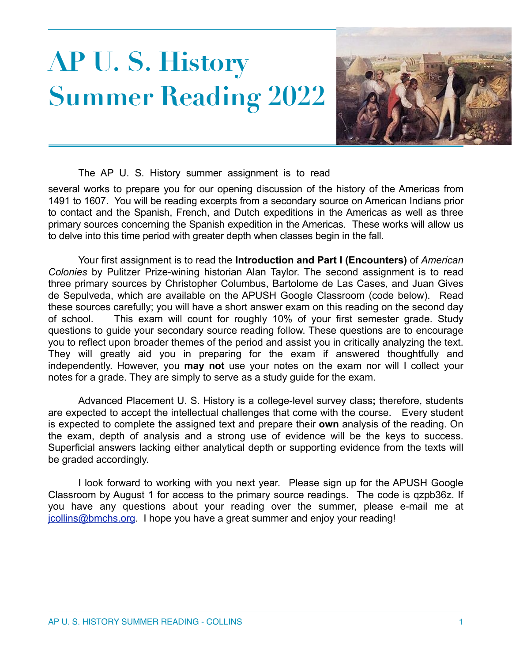# **AP U. S. History Summer Reading 2022**



The AP U. S. History summer assignment is to read

several works to prepare you for our opening discussion of the history of the Americas from 1491 to 1607. You will be reading excerpts from a secondary source on American Indians prior to contact and the Spanish, French, and Dutch expeditions in the Americas as well as three primary sources concerning the Spanish expedition in the Americas. These works will allow us to delve into this time period with greater depth when classes begin in the fall.

Your first assignment is to read the **Introduction and Part I (Encounters)** of *American Colonies* by Pulitzer Prize-wining historian Alan Taylor. The second assignment is to read three primary sources by Christopher Columbus, Bartolome de Las Cases, and Juan Gives de Sepulveda, which are available on the APUSH Google Classroom (code below). Read these sources carefully; you will have a short answer exam on this reading on the second day of school. This exam will count for roughly 10% of your first semester grade. Study questions to guide your secondary source reading follow. These questions are to encourage you to reflect upon broader themes of the period and assist you in critically analyzing the text. They will greatly aid you in preparing for the exam if answered thoughtfully and independently. However, you **may not** use your notes on the exam nor will I collect your notes for a grade. They are simply to serve as a study guide for the exam.

Advanced Placement U. S. History is a college-level survey class**;** therefore, students are expected to accept the intellectual challenges that come with the course. Every student is expected to complete the assigned text and prepare their **own** analysis of the reading. On the exam, depth of analysis and a strong use of evidence will be the keys to success. Superficial answers lacking either analytical depth or supporting evidence from the texts will be graded accordingly.

I look forward to working with you next year. Please sign up for the APUSH Google Classroom by August 1 for access to the primary source readings. The code is qzpb36z. If you have any questions about your reading over the summer, please e-mail me at [jcollins@bmchs.org.](mailto:jcollins@bmchs.org) I hope you have a great summer and enjoy your reading!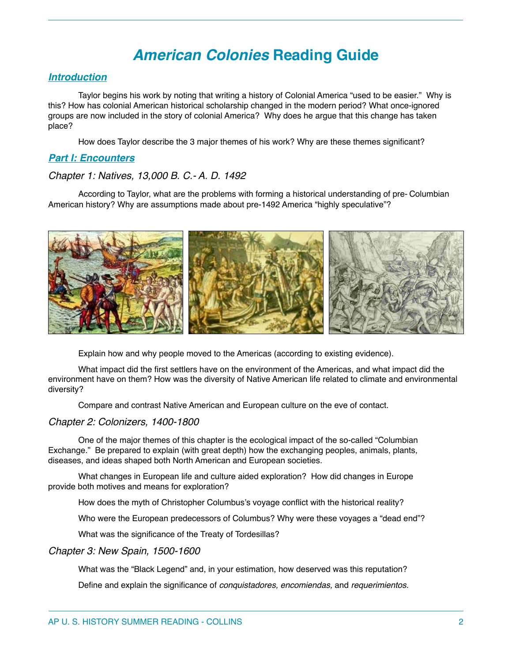# *American Colonies* **Reading Guide**

# *Introduction*

Taylor begins his work by noting that writing a history of Colonial America "used to be easier." Why is this? How has colonial American historical scholarship changed in the modern period? What once-ignored groups are now included in the story of colonial America? Why does he argue that this change has taken place?

How does Taylor describe the 3 major themes of his work? Why are these themes significant?

## *Part I: Encounters*

# *Chapter 1: Natives, 13,000 B. C.- A. D. 1492*

According to Taylor, what are the problems with forming a historical understanding of pre- Columbian American history? Why are assumptions made about pre-1492 America "highly speculative"?



Explain how and why people moved to the Americas (according to existing evidence).

What impact did the first settlers have on the environment of the Americas, and what impact did the environment have on them? How was the diversity of Native American life related to climate and environmental diversity?

Compare and contrast Native American and European culture on the eve of contact.

### *Chapter 2: Colonizers, 1400-1800*

One of the major themes of this chapter is the ecological impact of the so-called "Columbian Exchange." Be prepared to explain (with great depth) how the exchanging peoples, animals, plants, diseases, and ideas shaped both North American and European societies.

What changes in European life and culture aided exploration? How did changes in Europe provide both motives and means for exploration?

How does the myth of Christopher Columbus's voyage conflict with the historical reality?

Who were the European predecessors of Columbus? Why were these voyages a "dead end"?

What was the significance of the Treaty of Tordesillas?

#### *Chapter 3: New Spain, 1500-1600*

What was the "Black Legend" and, in your estimation, how deserved was this reputation?

Define and explain the significance of *conquistadores, encomiendas,* and *requerimientos.*